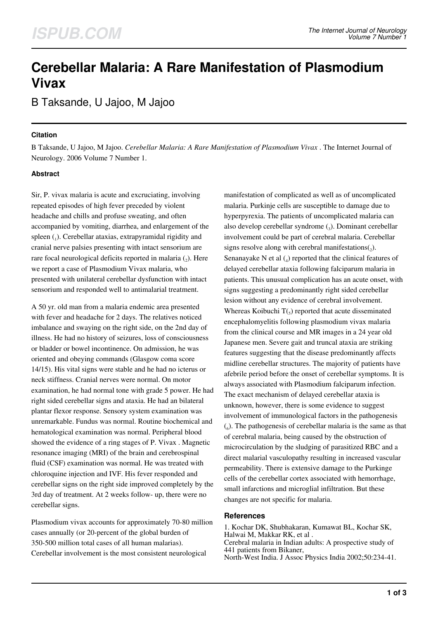# **Cerebellar Malaria: A Rare Manifestation of Plasmodium Vivax**

B Taksande, U Jajoo, M Jajoo

### **Citation**

B Taksande, U Jajoo, M Jajoo. *Cerebellar Malaria: A Rare Manifestation of Plasmodium Vivax* . The Internet Journal of Neurology. 2006 Volume 7 Number 1.

## **Abstract**

Sir, P. vivax malaria is acute and excruciating, involving repeated episodes of high fever preceded by violent headache and chills and profuse sweating, and often accompanied by vomiting, diarrhea, and enlargement of the spleen (1). Cerebellar ataxias, extrapyramidal rigidity and cranial nerve palsies presenting with intact sensorium are rare focal neurological deficits reported in malaria  $(_{2})$ . Here we report a case of Plasmodium Vivax malaria, who presented with unilateral cerebellar dysfunction with intact sensorium and responded well to antimalarial treatment.

A 50 yr. old man from a malaria endemic area presented with fever and headache for 2 days. The relatives noticed imbalance and swaying on the right side, on the 2nd day of illness. He had no history of seizures, loss of consciousness or bladder or bowel incontinence. On admission, he was oriented and obeying commands (Glasgow coma score 14/15). His vital signs were stable and he had no icterus or neck stiffness. Cranial nerves were normal. On motor examination, he had normal tone with grade 5 power. He had right sided cerebellar signs and ataxia. He had an bilateral plantar flexor response. Sensory system examination was unremarkable. Fundus was normal. Routine biochemical and hematological examination was normal. Peripheral blood showed the evidence of a ring stages of P. Vivax . Magnetic resonance imaging (MRI) of the brain and cerebrospinal fluid (CSF) examination was normal. He was treated with chloroquine injection and IVF. His fever responded and cerebellar signs on the right side improved completely by the 3rd day of treatment. At 2 weeks follow- up, there were no cerebellar signs.

Plasmodium vivax accounts for approximately 70-80 million cases annually (or 20-percent of the global burden of 350-500 million total cases of all human malarias). Cerebellar involvement is the most consistent neurological

manifestation of complicated as well as of uncomplicated malaria. Purkinje cells are susceptible to damage due to hyperpyrexia. The patients of uncomplicated malaria can also develop cerebellar syndrome (3). Dominant cerebellar involvement could be part of cerebral malaria. Cerebellar signs resolve along with cerebral manifestations $_{2}$ ). Senanayake N et al  $_A$ ) reported that the clinical features of delayed cerebellar ataxia following falciparum malaria in patients. This unusual complication has an acute onset, with signs suggesting a predominantly right sided cerebellar lesion without any evidence of cerebral involvement. Whereas Koibuchi  $T(s)$  reported that acute disseminated encephalomyelitis following plasmodium vivax malaria from the clinical course and MR images in a 24 year old Japanese men. Severe gait and truncal ataxia are striking features suggesting that the disease predominantly affects midline cerebellar structures. The majority of patients have afebrile period before the onset of cerebellar symptoms. It is always associated with Plasmodium falciparum infection. The exact mechanism of delayed cerebellar ataxia is unknown, however, there is some evidence to suggest involvement of immunological factors in the pathogenesis (6 ). The pathogenesis of cerebellar malaria is the same as that of cerebral malaria, being caused by the obstruction of microcirculation by the sludging of parasitized RBC and a direct malarial vasculopathy resulting in increased vascular permeability. There is extensive damage to the Purkinge cells of the cerebellar cortex associated with hemorrhage, small infarctions and microglial infiltration. But these changes are not specific for malaria.

#### **References**

1. Kochar DK, Shubhakaran, Kumawat BL, Kochar SK, Halwai M, Makkar RK, et al . Cerebral malaria in Indian adults: A prospective study of 441 patients from Bikaner, North-West India. J Assoc Physics India 2002;50:234-41.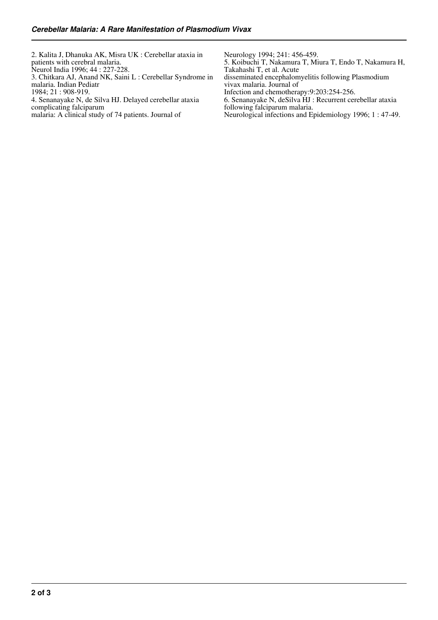| Neurology 1994; 241: 456-459.<br>5. Koibuchi T, Nakamura T, Miura T, Endo T, Nakamura H,<br>Takahashi T, et al. Acute<br>disseminated encephalomyelitis following Plasmodium<br>vivax malaria. Journal of<br>Infection and chemotherapy: 9:203:254-256.<br>6. Senanayake N, deSilva HJ : Recurrent cerebellar ataxia<br>following falciparum malaria.<br>Neurological infections and Epidemiology 1996; 1:47-49. |
|------------------------------------------------------------------------------------------------------------------------------------------------------------------------------------------------------------------------------------------------------------------------------------------------------------------------------------------------------------------------------------------------------------------|
|                                                                                                                                                                                                                                                                                                                                                                                                                  |
|                                                                                                                                                                                                                                                                                                                                                                                                                  |